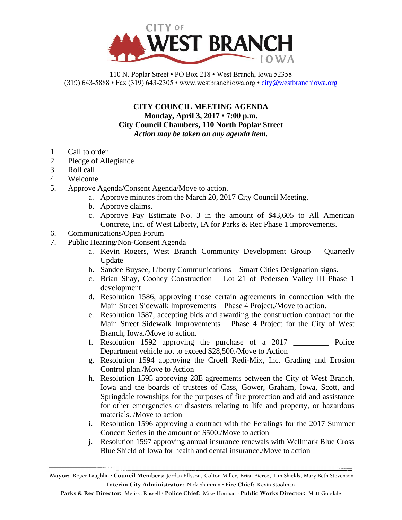

110 N. Poplar Street • PO Box 218 • West Branch, Iowa 52358 (319) 643-5888 • Fax (319) 643-2305 • www.westbranchiowa.org •  $\text{city@westbranchiowa.org}$ 

> **CITY COUNCIL MEETING AGENDA Monday, April 3, 2017 • 7:00 p.m. City Council Chambers, 110 North Poplar Street** *Action may be taken on any agenda item.*

- 1. Call to order
- 2. Pledge of Allegiance
- 3. Roll call
- 4. Welcome
- 5. Approve Agenda/Consent Agenda/Move to action.
	- a. Approve minutes from the March 20, 2017 City Council Meeting.
	- b. Approve claims.
	- c. Approve Pay Estimate No. 3 in the amount of \$43,605 to All American Concrete, Inc. of West Liberty, IA for Parks & Rec Phase 1 improvements.
- 6. Communications/Open Forum
- 7. Public Hearing/Non-Consent Agenda
	- a. Kevin Rogers, West Branch Community Development Group Quarterly Update
	- b. Sandee Buysee, Liberty Communications Smart Cities Designation signs.
	- c. Brian Shay, Coohey Construction Lot 21 of Pedersen Valley III Phase 1 development
	- d. Resolution 1586, approving those certain agreements in connection with the Main Street Sidewalk Improvements – Phase 4 Project./Move to action.
	- e. Resolution 1587, accepting bids and awarding the construction contract for the Main Street Sidewalk Improvements – Phase 4 Project for the City of West Branch, Iowa./Move to action.
	- f. Resolution 1592 approving the purchase of a 2017 \_\_\_\_\_\_\_\_\_ Police Department vehicle not to exceed \$28,500./Move to Action
	- g. Resolution 1594 approving the Croell Redi-Mix, Inc. Grading and Erosion Control plan./Move to Action
	- h. Resolution 1595 approving 28E agreements between the City of West Branch, Iowa and the boards of trustees of Cass, Gower, Graham, Iowa, Scott, and Springdale townships for the purposes of fire protection and aid and assistance for other emergencies or disasters relating to life and property, or hazardous materials. /Move to action
	- i. Resolution 1596 approving a contract with the Feralings for the 2017 Summer Concert Series in the amount of \$500./Move to action
	- j. Resolution 1597 approving annual insurance renewals with Wellmark Blue Cross Blue Shield of Iowa for health and dental insurance./Move to action

**Mayor:** Roger Laughlin **· Council Members:** Jordan Ellyson, Colton Miller, Brian Pierce, Tim Shields, Mary Beth Stevenson **Interim City Administrator:** Nick Shimmin **· Fire Chief:** Kevin Stoolman